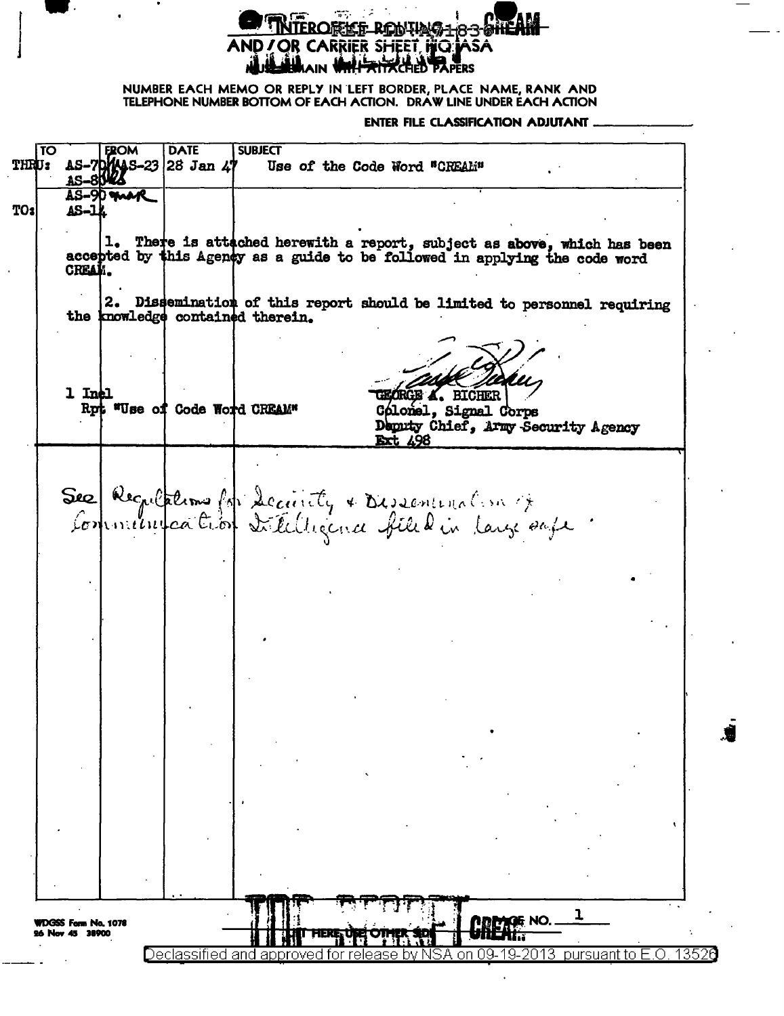## **EROREE RENTAG183** AND / OR CARRIER SHEET, HIGHASA **JA HALAIN WHALE TRACE OF BAPERS**

NUMBER EACH MEMO OR REPLY IN LEFT BORDER, PLACE NAME, RANK AND **TELEPHONE NUMBER BOTTOM OF EACH ACTION. DRAW LINE UNDER EACH ACTION** 

**ENTER FILE CLASSIFICATION ADJUTANT.** 

FROM **DATE SUBJECT**  $\overline{\text{TO}}$ -7**DYAS-23**<br>-8**DRZ** THRU: |28 Jan 41 AS Use of the Code Word "CREAL" AS-**AS-90 may** TO: AS-lł 1. There is attached herewith a report, subject as above, which has been accepted by this Agency as a guide to be followed in applying the code word CREAM. 2. Dissemination of this report should be limited to personnel requiring the knowledge contained therein. 1 Inel **RGE A. BIGHER** Rpt "Use of Code World CREAM" Cólonel, Signal Corps Deputy Chief, Army Security Agency **Ext. 498** 500 Regulations foi decunity & Dissentination of Sec ı WDGSS Form No. 1078<br>26 Nov 45 38900 GG NO. Declassified oursuant to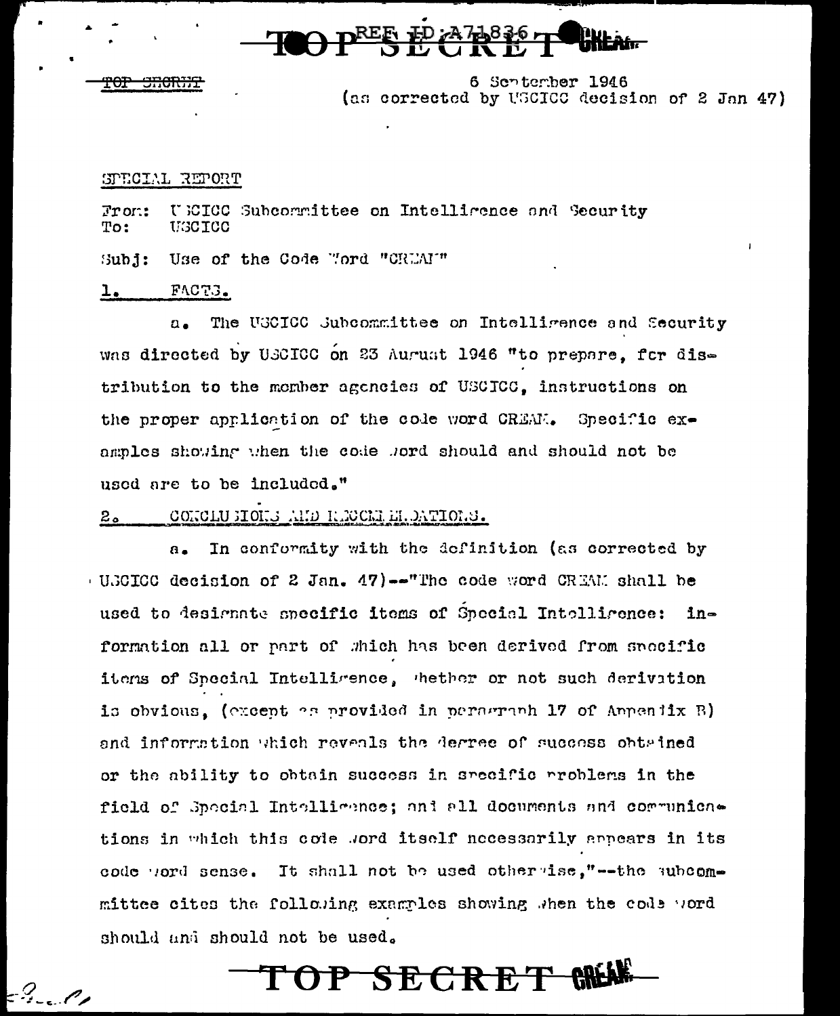

6 Schtember 1946 (as corrected by USCICC decision of 2 Jan 47)

## SPECIAL REPORT

 $Tron:$ U EICO Subcorrittee on Intelligence and Security To: USCICC

Subj: Use of the Code "ford "CRUAI"

### FACTS. <u>l.</u>

The UGCICC Subcommittee on Intelligence and Security  $\Omega$ . was directed by USCICC on 23 August 1946 "to prepare, for distribution to the member agencies of USCICC, instructions on the proper application of the code word CREAM. Specific examples showing when the code word should and should not be used are to be included."

### CONCLUSIONS AND RECORDEREDATIONS.  $2a$

In conformity with the definition (as corrected by  $\mathbf{a}$ . (UNCICO decision of 2 Jan. 47)--The code word CREAM shall be used to designate specific items of Special Intelligence: information all or part of which has been derived from specific items of Special Intelligence, thether or not such derivation is obvious. (except es provided in perserab 17 of Appendix B) and information which reveals the degree of success obtained or the ability to obtain success in specific problems in the field of Special Intelligence; and all documents and communications in which this code word itself necessarily appears in its code word sense. It shall not be used other ise,"--the subcommittee cites the following examples showing when the code word should and should not be used.

OP SECRET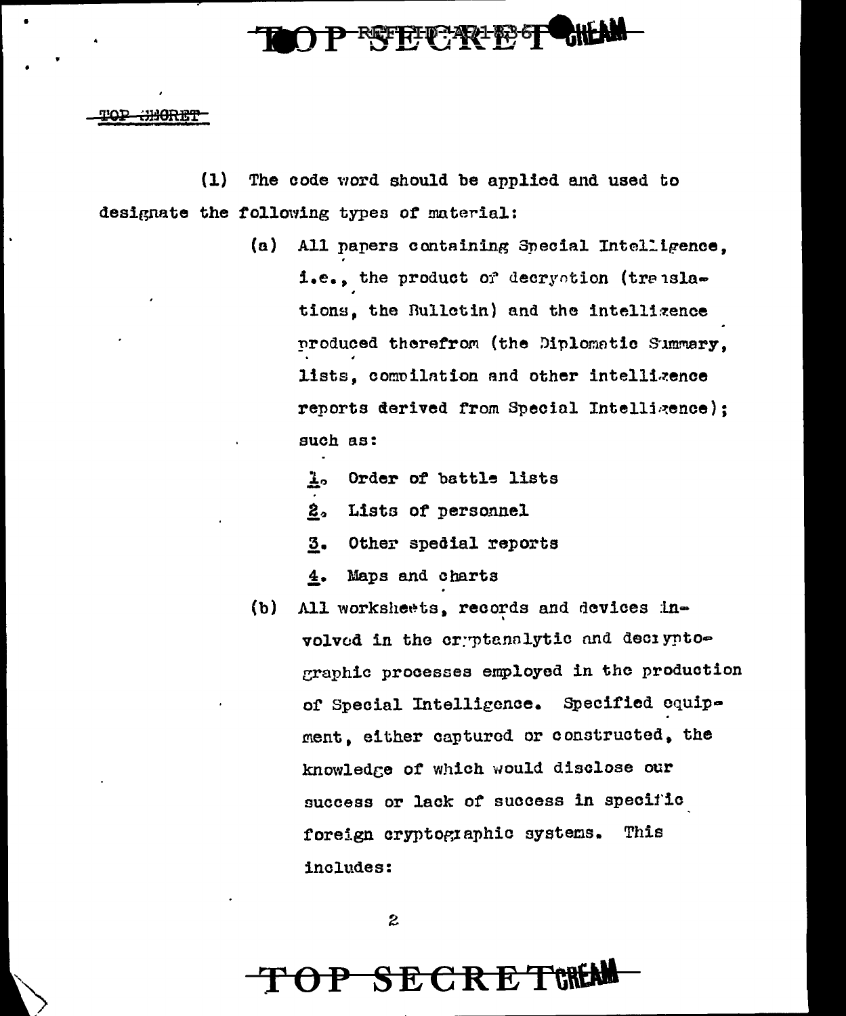

T<del>OP CHORET</del>

 $(1)$ The code word should be applied and used to designate the following types of material:

- $(a)$ All papers containing Special Intelligence. i.e., the product or decryotion (translations, the Bullotin) and the intellizence produced therefrom (the Diplomatic Summary. lists, compilation and other intellizence reports derived from Special Intelligence); such as:
	- Order of battle lists Ā۰
	- 2. Lists of personnel
	- 3. Other spedial reports
	- 4. Maps and charts
- All worksheets, records and devices in- $(b)$ volved in the cryptanalytic and deciyptographic processes employed in the production of Special Intelligence. Specified equipment, either captured or constructed, the knowledge of which would disclose our success or lack of success in specific foreign cryptographic systems. This includes:

 $\boldsymbol{z}$ 

# **SECRETWEM**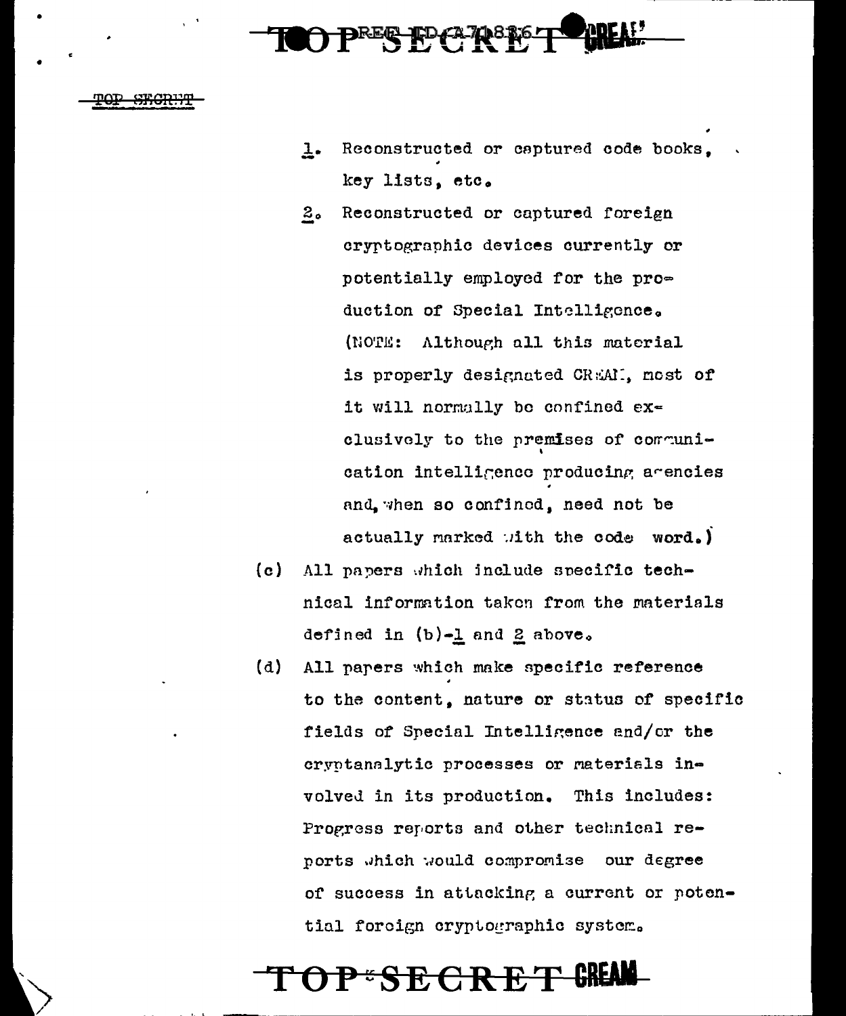- Reconstructed or captured code books.  $1.$ key lists, etc.
- $2<sub>o</sub>$ Reconstructed or captured foreign cryptographic devices currently or potentially employed for the production of Special Intelligence. (NOTE: Although all this material is properly designated CREAM. most of it will normally be confined exclusively to the premises of communication intelligence producing agencies and, when so confined, need not be actually marked with the code word.)
- $(c)$ All papers which include specific technical information taken from the materials defined in  $(b)-1$  and 2 above.
- $(d)$ All papers which make specific reference to the content, nature or status of specific fields of Special Intelligence and/or the cryptanalytic processes or materials involved in its production. This includes: Progress reports and other technical reports which would compromise our degree of success in attacking a current or potential forcign cryptographic system.

## P\*SECRE'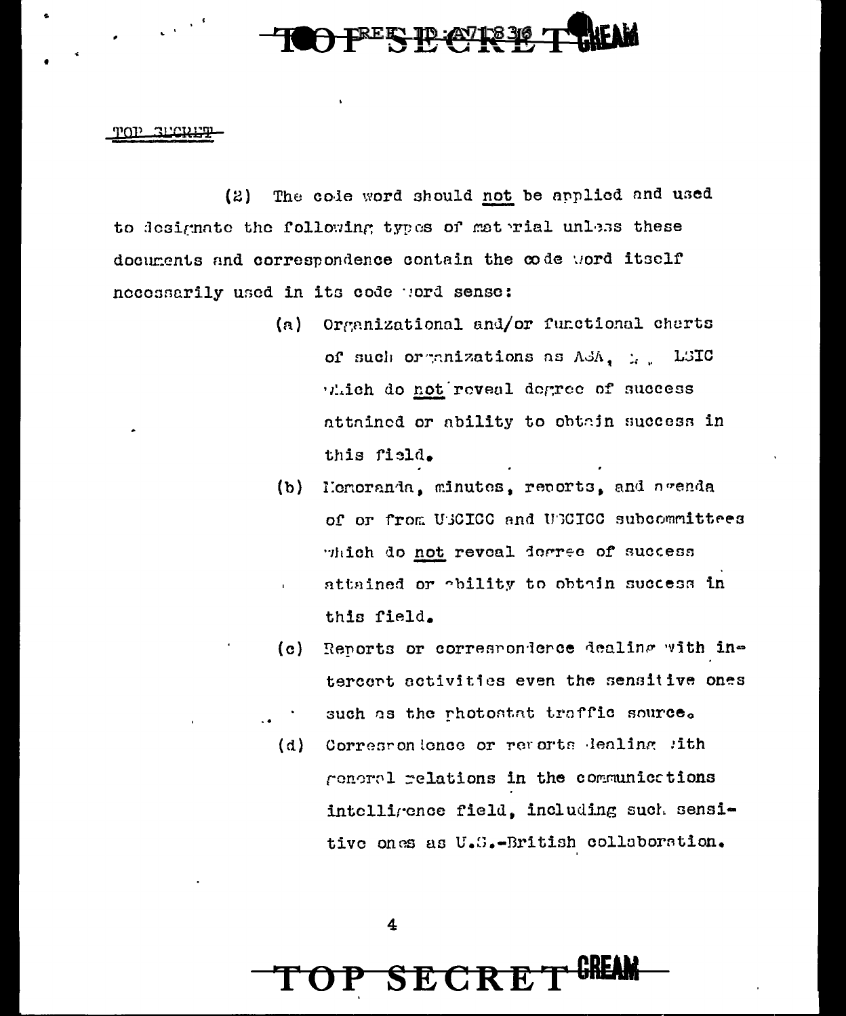## TOP SECRET

The cole word should not be applied and used  $(2)$ to designate the following types of material unless these documents and correspondence contain the code word itself necessarily used in its code word sense:

- (a) Organizational and/or functional charts of such organizations as ASA, ... LSIC viich do not reveal degree of success attained or ability to obtain success in this field.
- Henoranda, minutes, reports, and agenda  $(b)$ of or from USCICC and USCICC subcommittees which do not reveal degree of success attained or obility to obtain success in this field.
- Reports or correspondence dealing with in- $(c)$ tercent activities even the sensitive ones such as the photostat traffic source.
- Correspondence or revorts dealing sith  $(d)$ general relations in the communications intelligence field, including such sensitive ones as U.S.-British collaboration.

 $\overline{\mathbf{4}}$ 

**SECRE**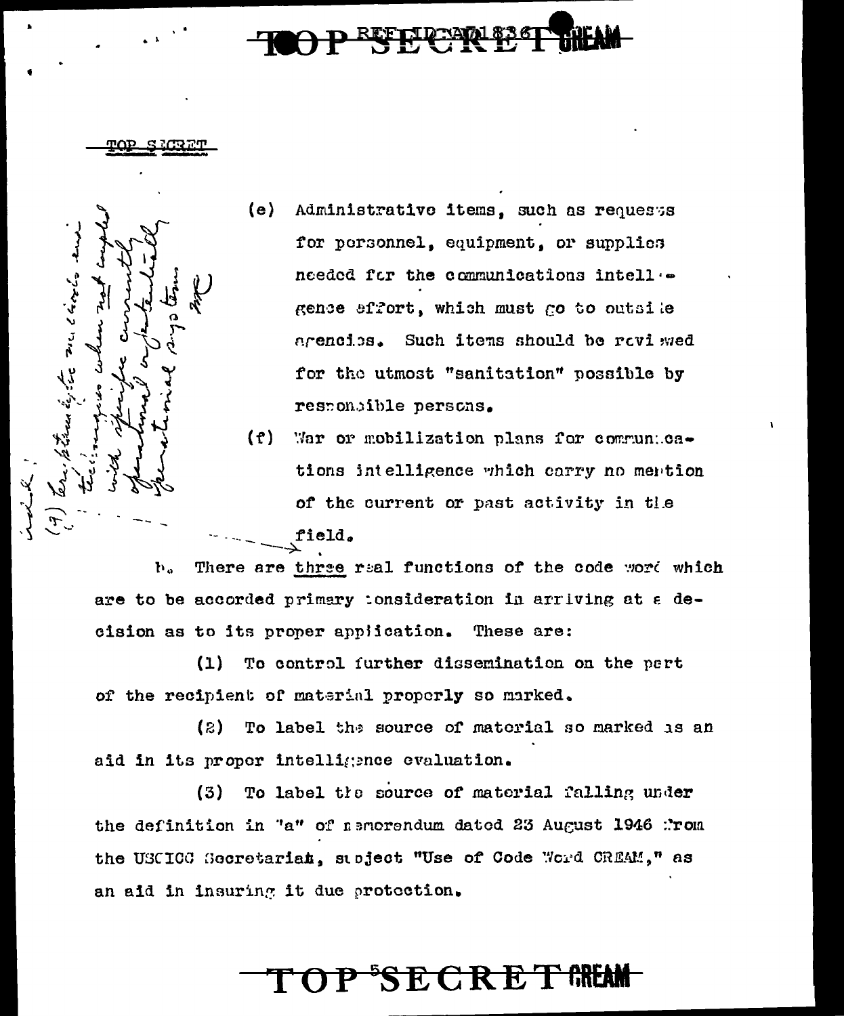مدوق وتعد محدد و نومهان مصد

- (e) Administrative items, such as requests for personnel, equipment, or supplies needed for the communications intell .gence effort, which must go to outsile arencies. Such items should be raviewed for the utmost "sanitation" possible by responsible persons.
- $(f)$ War or mobilization plans for communications intelligence which carry no mention of the current or past activity in the field.

There are three real functions of the code word which b. are to be accorded primary tonsideration in arriving at a decision as to its proper application. These are:

 $(1)$ To control further dissemination on the part of the recipient of material properly so marked.

To label the source of material so marked as an (2) aid in its proper intelligence evaluation.

 $(3)$ To label the source of material falling under the definition in "a" of nemorondum dated 23 August 1946 :'rom the USCICC Secretarian, subject "Use of Code Word CREAM," as an aid in insuring it due protection.

# **TOP SECRET GREA**